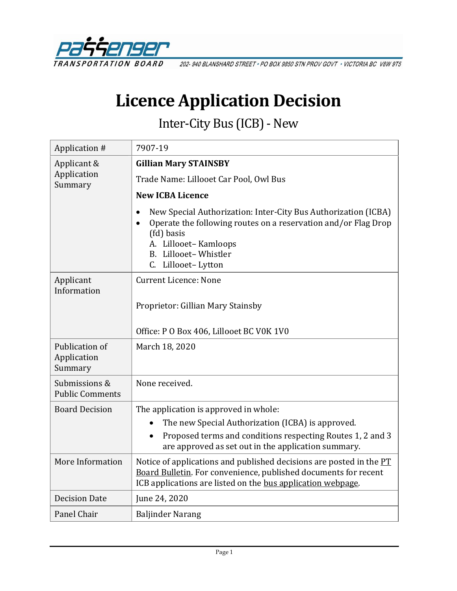

202-940 BLANSHARD STREET · PO BOX 9850 STN PROV GOVT · VICTORIA BC V8W 9T5

# **Licence Application Decision**

Inter-City Bus (ICB)-New

| Application #                            | 7907-19                                                                                                                                                                                                              |  |
|------------------------------------------|----------------------------------------------------------------------------------------------------------------------------------------------------------------------------------------------------------------------|--|
| Applicant &<br>Application<br>Summary    | <b>Gillian Mary STAINSBY</b>                                                                                                                                                                                         |  |
|                                          | Trade Name: Lillooet Car Pool, Owl Bus                                                                                                                                                                               |  |
|                                          | <b>New ICBA Licence</b>                                                                                                                                                                                              |  |
|                                          | New Special Authorization: Inter-City Bus Authorization (ICBA)<br>Operate the following routes on a reservation and/or Flag Drop<br>(fd) basis<br>A. Lillooet-Kamloops<br>B. Lillooet-Whistler<br>C. Lillooet-Lytton |  |
| Applicant<br>Information                 | <b>Current Licence: None</b>                                                                                                                                                                                         |  |
|                                          | Proprietor: Gillian Mary Stainsby                                                                                                                                                                                    |  |
|                                          | Office: P O Box 406, Lillooet BC V0K 1V0                                                                                                                                                                             |  |
| Publication of<br>Application<br>Summary | March 18, 2020                                                                                                                                                                                                       |  |
| Submissions &<br><b>Public Comments</b>  | None received.                                                                                                                                                                                                       |  |
| <b>Board Decision</b>                    | The application is approved in whole:                                                                                                                                                                                |  |
|                                          | The new Special Authorization (ICBA) is approved.                                                                                                                                                                    |  |
|                                          | Proposed terms and conditions respecting Routes 1, 2 and 3<br>are approved as set out in the application summary.                                                                                                    |  |
| More Information                         | Notice of applications and published decisions are posted in the PT<br>Board Bulletin. For convenience, published documents for recent<br>ICB applications are listed on the bus application webpage.                |  |
| <b>Decision Date</b>                     | June 24, 2020                                                                                                                                                                                                        |  |
| Panel Chair                              | <b>Baljinder Narang</b>                                                                                                                                                                                              |  |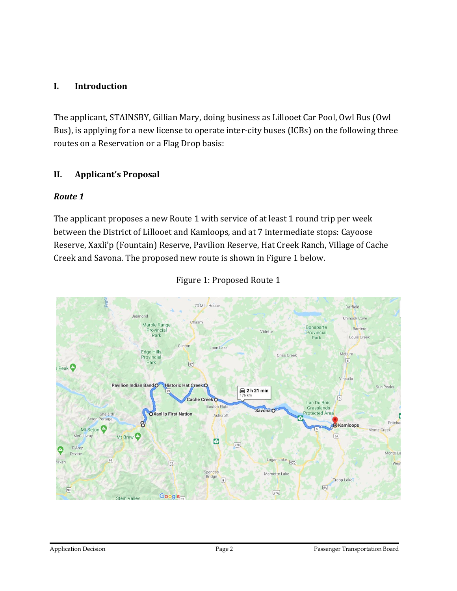## **I. Introduction**

The applicant, STAINSBY, Gillian Mary, doing business as Lillooet Car Pool, Owl Bus (Owl Bus), is applying for a new license to operate inter-city buses (ICBs) on the following three routes on a Reservation or a Flag Drop basis:

## **II. Applicant's Proposal**

## *Route 1*

The applicant proposes a new Route 1 with service of at least 1 round trip per week between the District of Lillooet and Kamloops, and at 7 intermediate stops: Cayoose Reserve, Xaxli'p (Fountain) Reserve, Pavilion Reserve, Hat Creek Ranch, Village of Cache Creek and Savona. The proposed new route is shown in Figure 1 below.



#### Figure 1: Proposed Route 1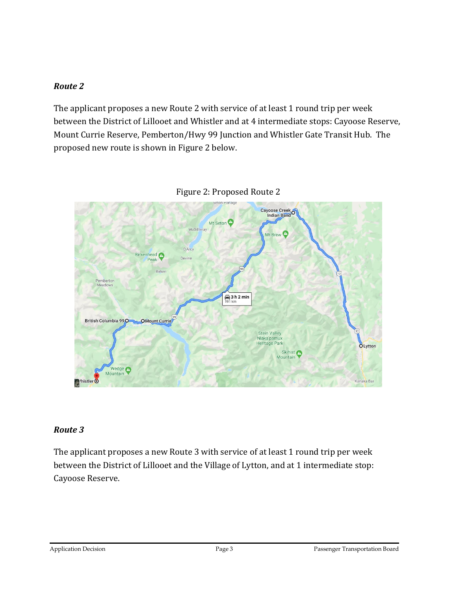## *Route 2*

The applicant proposes a new Route 2 with service of at least 1 round trip per week between the District of Lillooet and Whistler and at 4 intermediate stops: Cayoose Reserve, Mount Currie Reserve, Pemberton/Hwy 99 Junction and Whistler Gate Transit Hub. The proposed new route is shown in Figure 2 below.





#### *Route 3*

The applicant proposes a new Route 3 with service of at least 1 round trip per week between the District of Lillooet and the Village of Lytton, and at 1 intermediate stop: Cayoose Reserve.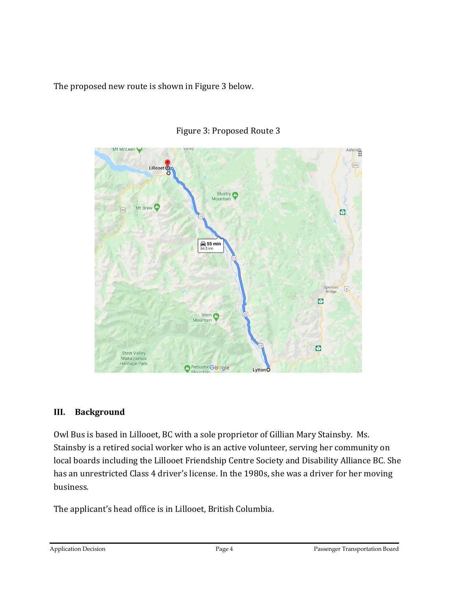The proposed new route is shown in Figure 3 below.



## Figure 3: Proposed Route 3

## **III. Background**

Owl Bus is based in Lillooet, BC with a sole proprietor of Gillian Mary Stainsby. Ms. Stainsby is a retired social worker who is an active volunteer, serving her community on local boards including the Lillooet Friendship Centre Society and Disability Alliance BC. She has an unrestricted Class 4 driver's license. In the 1980s, she was a driver for her moving business.

The applicant's head office is in Lillooet, British Columbia.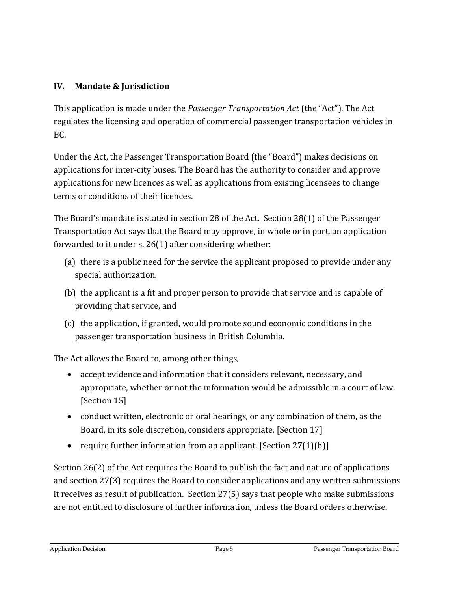# **IV. Mandate & Jurisdiction**

This application is made under the *Passenger Transportation Act* (the "Act"). The Act regulates the licensing and operation of commercial passenger transportation vehicles in BC.

Under the Act, the Passenger Transportation Board (the "Board") makes decisions on applications for inter-city buses. The Board has the authority to consider and approve applications for new licences as well as applications from existing licensees to change terms or conditions of their licences.

The Board's mandate is stated in section 28 of the Act. Section 28(1) of the Passenger Transportation Act says that the Board may approve, in whole or in part, an application forwarded to it under s. 26(1) after considering whether:

- (a) there is a public need for the service the applicant proposed to provide under any special authorization.
- (b) the applicant is a fit and proper person to provide that service and is capable of providing that service, and
- (c) the application, if granted, would promote sound economic conditions in the passenger transportation business in British Columbia.

The Act allows the Board to, among other things,

- accept evidence and information that it considers relevant, necessary, and appropriate, whether or not the information would be admissible in a court of law. [Section 15]
- conduct written, electronic or oral hearings, or any combination of them, as the Board, in its sole discretion, considers appropriate. [Section 17]
- require further information from an applicant. [Section  $27(1)(b)$ ]

Section 26(2) of the Act requires the Board to publish the fact and nature of applications and section 27(3) requires the Board to consider applications and any written submissions it receives as result of publication. Section 27(5) says that people who make submissions are not entitled to disclosure of further information, unless the Board orders otherwise.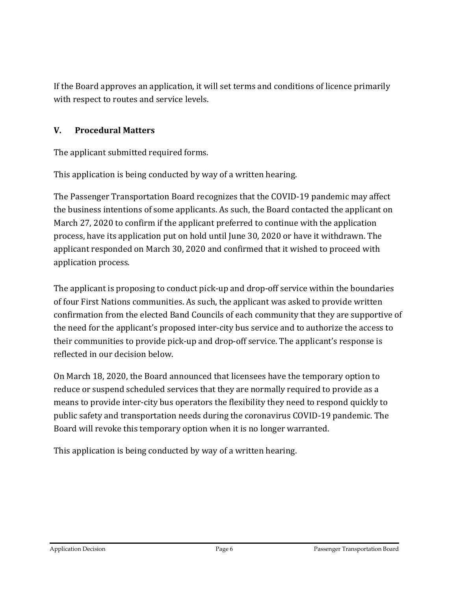If the Board approves an application, it will set terms and conditions of licence primarily with respect to routes and service levels.

## **V. Procedural Matters**

The applicant submitted required forms.

This application is being conducted by way of a written hearing.

The Passenger Transportation Board recognizes that the COVID-19 pandemic may affect the business intentions of some applicants. As such, the Board contacted the applicant on March 27, 2020 to confirm if the applicant preferred to continue with the application process, have its application put on hold until June 30, 2020 or have it withdrawn. The applicant responded on March 30, 2020 and confirmed that it wished to proceed with application process.

The applicant is proposing to conduct pick-up and drop-off service within the boundaries of four First Nations communities. As such, the applicant was asked to provide written confirmation from the elected Band Councils of each community that they are supportive of the need for the applicant's proposed inter-city bus service and to authorize the access to their communities to provide pick-up and drop-off service. The applicant's response is reflected in our decision below.

On March 18, 2020, the Board announced that licensees have the temporary option to reduce or suspend scheduled services that they are normally required to provide as a means to provide inter-city bus operators the flexibility they need to respond quickly to public safety and transportation needs during the coronavirus COVID-19 pandemic. The Board will revoke this temporary option when it is no longer warranted.

This application is being conducted by way of a written hearing.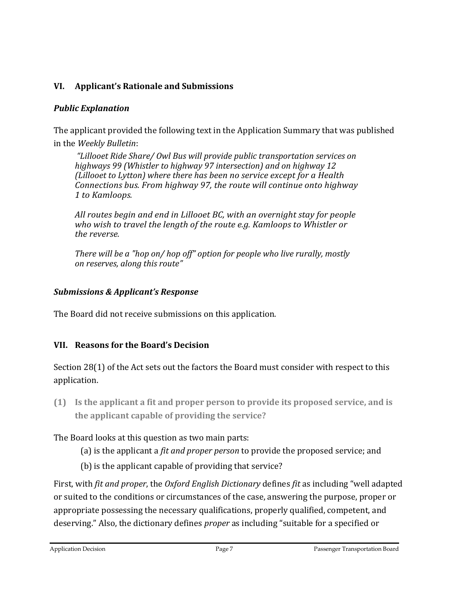# **VI. Applicant's Rationale and Submissions**

## *Public Explanation*

The applicant provided the following text in the Application Summary that was published in the *Weekly Bulletin*:

*"Lillooet Ride Share/ Owl Bus will provide public transportation services on highways 99 (Whistler to highway 97 intersection) and on highway 12 (Lillooet to Lytton) where there has been no service except for a Health Connections bus. From highway 97, the route will continue onto highway 1 to Kamloops.*

*All routes begin and end in Lillooet BC, with an overnight stay for people who wish to travel the length of the route e.g. Kamloops to Whistler or the reverse.* 

*There will be a "hop on/ hop off" option for people who live rurally, mostly on reserves, along this route"*

## *Submissions & Applicant's Response*

The Board did not receive submissions on this application.

## **VII. Reasons for the Board's Decision**

Section 28(1) of the Act sets out the factors the Board must consider with respect to this application.

**(1) Is the applicant a fit and proper person to provide its proposed service, and is the applicant capable of providing the service?**

The Board looks at this question as two main parts:

- (a) is the applicant a *fit and proper person* to provide the proposed service; and
- (b) is the applicant capable of providing that service?

First, with *fit and proper*, the *Oxford English Dictionary* defines *fit* as including "well adapted or suited to the conditions or circumstances of the case, answering the purpose, proper or appropriate possessing the necessary qualifications, properly qualified, competent, and deserving." Also, the dictionary defines *proper* as including "suitable for a specified or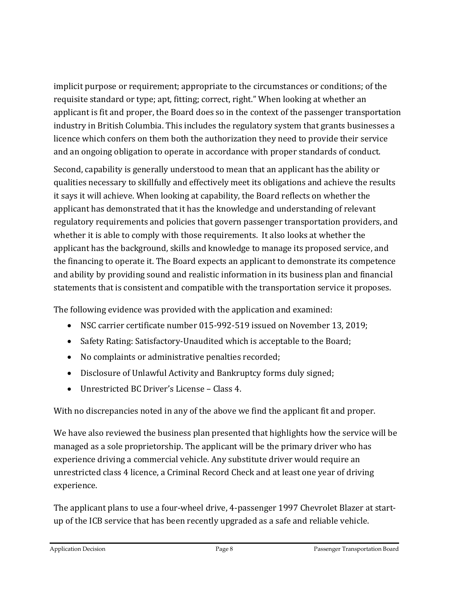implicit purpose or requirement; appropriate to the circumstances or conditions; of the requisite standard or type; apt, fitting; correct, right." When looking at whether an applicant is fit and proper, the Board does so in the context of the passenger transportation industry in British Columbia. This includes the regulatory system that grants businesses a licence which confers on them both the authorization they need to provide their service and an ongoing obligation to operate in accordance with proper standards of conduct.

Second, capability is generally understood to mean that an applicant has the ability or qualities necessary to skillfully and effectively meet its obligations and achieve the results it says it will achieve. When looking at capability, the Board reflects on whether the applicant has demonstrated that it has the knowledge and understanding of relevant regulatory requirements and policies that govern passenger transportation providers, and whether it is able to comply with those requirements. It also looks at whether the applicant has the background, skills and knowledge to manage its proposed service, and the financing to operate it. The Board expects an applicant to demonstrate its competence and ability by providing sound and realistic information in its business plan and financial statements that is consistent and compatible with the transportation service it proposes.

The following evidence was provided with the application and examined:

- NSC carrier certificate number 015-992-519 issued on November 13, 2019;
- Safety Rating: Satisfactory-Unaudited which is acceptable to the Board;
- No complaints or administrative penalties recorded;
- Disclosure of Unlawful Activity and Bankruptcy forms duly signed;
- Unrestricted BC Driver's License Class 4.

With no discrepancies noted in any of the above we find the applicant fit and proper.

We have also reviewed the business plan presented that highlights how the service will be managed as a sole proprietorship. The applicant will be the primary driver who has experience driving a commercial vehicle. Any substitute driver would require an unrestricted class 4 licence, a Criminal Record Check and at least one year of driving experience.

The applicant plans to use a four-wheel drive, 4-passenger 1997 Chevrolet Blazer at startup of the ICB service that has been recently upgraded as a safe and reliable vehicle.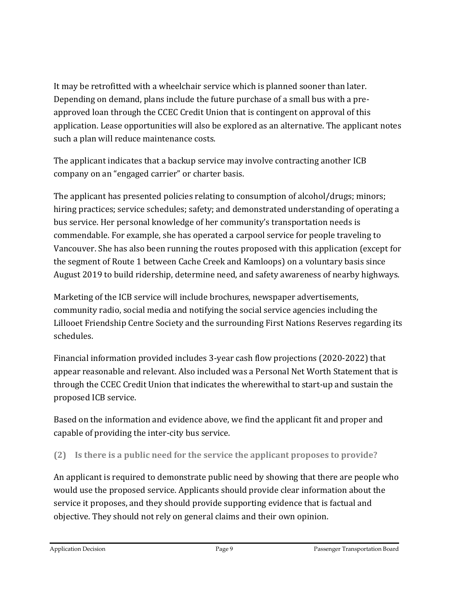It may be retrofitted with a wheelchair service which is planned sooner than later. Depending on demand, plans include the future purchase of a small bus with a preapproved loan through the CCEC Credit Union that is contingent on approval of this application. Lease opportunities will also be explored as an alternative. The applicant notes such a plan will reduce maintenance costs.

The applicant indicates that a backup service may involve contracting another ICB company on an "engaged carrier" or charter basis.

The applicant has presented policies relating to consumption of alcohol/drugs; minors; hiring practices; service schedules; safety; and demonstrated understanding of operating a bus service. Her personal knowledge of her community's transportation needs is commendable. For example, she has operated a carpool service for people traveling to Vancouver. She has also been running the routes proposed with this application (except for the segment of Route 1 between Cache Creek and Kamloops) on a voluntary basis since August 2019 to build ridership, determine need, and safety awareness of nearby highways.

Marketing of the ICB service will include brochures, newspaper advertisements, community radio, social media and notifying the social service agencies including the Lillooet Friendship Centre Society and the surrounding First Nations Reserves regarding its schedules.

Financial information provided includes 3-year cash flow projections (2020-2022) that appear reasonable and relevant. Also included was a Personal Net Worth Statement that is through the CCEC Credit Union that indicates the wherewithal to start-up and sustain the proposed ICB service.

Based on the information and evidence above, we find the applicant fit and proper and capable of providing the inter-city bus service.

**(2) Is there is a public need for the service the applicant proposes to provide?**

An applicant is required to demonstrate public need by showing that there are people who would use the proposed service. Applicants should provide clear information about the service it proposes, and they should provide supporting evidence that is factual and objective. They should not rely on general claims and their own opinion.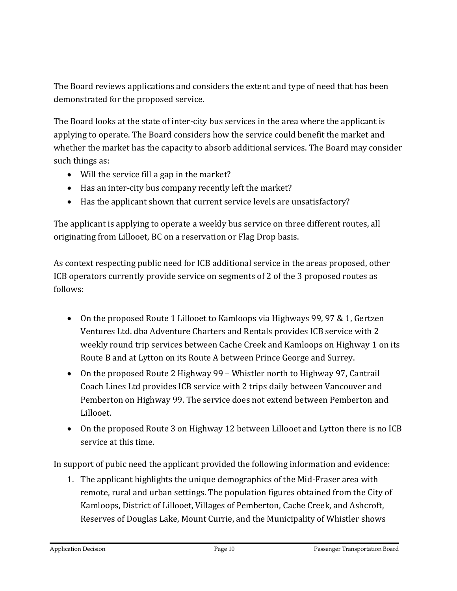The Board reviews applications and considers the extent and type of need that has been demonstrated for the proposed service.

The Board looks at the state of inter-city bus services in the area where the applicant is applying to operate. The Board considers how the service could benefit the market and whether the market has the capacity to absorb additional services. The Board may consider such things as:

- Will the service fill a gap in the market?
- Has an inter-city bus company recently left the market?
- Has the applicant shown that current service levels are unsatisfactory?

The applicant is applying to operate a weekly bus service on three different routes, all originating from Lillooet, BC on a reservation or Flag Drop basis.

As context respecting public need for ICB additional service in the areas proposed, other ICB operators currently provide service on segments of 2 of the 3 proposed routes as follows:

- On the proposed Route 1 Lillooet to Kamloops via Highways 99, 97 & 1, Gertzen Ventures Ltd. dba Adventure Charters and Rentals provides ICB service with 2 weekly round trip services between Cache Creek and Kamloops on Highway 1 on its Route B and at Lytton on its Route A between Prince George and Surrey.
- On the proposed Route 2 Highway 99 Whistler north to Highway 97, Cantrail Coach Lines Ltd provides ICB service with 2 trips daily between Vancouver and Pemberton on Highway 99. The service does not extend between Pemberton and Lillooet.
- On the proposed Route 3 on Highway 12 between Lillooet and Lytton there is no ICB service at this time.

In support of pubic need the applicant provided the following information and evidence:

1. The applicant highlights the unique demographics of the Mid-Fraser area with remote, rural and urban settings. The population figures obtained from the City of Kamloops, District of Lillooet, Villages of Pemberton, Cache Creek, and Ashcroft, Reserves of Douglas Lake, Mount Currie, and the Municipality of Whistler shows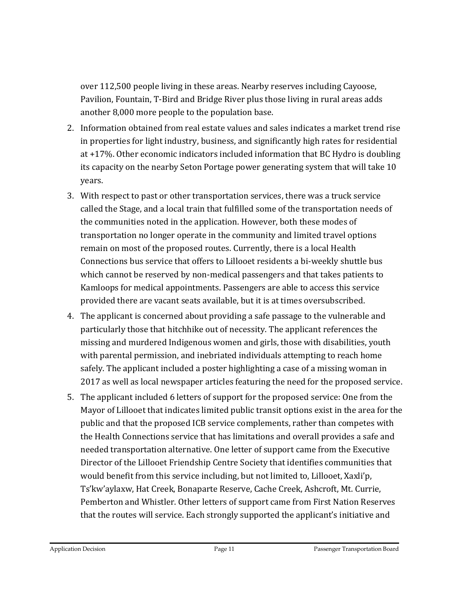over 112,500 people living in these areas. Nearby reserves including Cayoose, Pavilion, Fountain, T-Bird and Bridge River plus those living in rural areas adds another 8,000 more people to the population base.

- 2. Information obtained from real estate values and sales indicates a market trend rise in properties for light industry, business, and significantly high rates for residential at +17%. Other economic indicators included information that BC Hydro is doubling its capacity on the nearby Seton Portage power generating system that will take 10 years.
- 3. With respect to past or other transportation services, there was a truck service called the Stage, and a local train that fulfilled some of the transportation needs of the communities noted in the application. However, both these modes of transportation no longer operate in the community and limited travel options remain on most of the proposed routes. Currently, there is a local Health Connections bus service that offers to Lillooet residents a bi-weekly shuttle bus which cannot be reserved by non-medical passengers and that takes patients to Kamloops for medical appointments. Passengers are able to access this service provided there are vacant seats available, but it is at times oversubscribed.
- 4. The applicant is concerned about providing a safe passage to the vulnerable and particularly those that hitchhike out of necessity. The applicant references the missing and murdered Indigenous women and girls, those with disabilities, youth with parental permission, and inebriated individuals attempting to reach home safely. The applicant included a poster highlighting a case of a missing woman in 2017 as well as local newspaper articles featuring the need for the proposed service.
- 5. The applicant included 6 letters of support for the proposed service: One from the Mayor of Lillooet that indicates limited public transit options exist in the area for the public and that the proposed ICB service complements, rather than competes with the Health Connections service that has limitations and overall provides a safe and needed transportation alternative. One letter of support came from the Executive Director of the Lillooet Friendship Centre Society that identifies communities that would benefit from this service including, but not limited to, Lillooet, Xaxli'p, Ts'kw'aylaxw, Hat Creek, Bonaparte Reserve, Cache Creek, Ashcroft, Mt. Currie, Pemberton and Whistler. Other letters of support came from First Nation Reserves that the routes will service. Each strongly supported the applicant's initiative and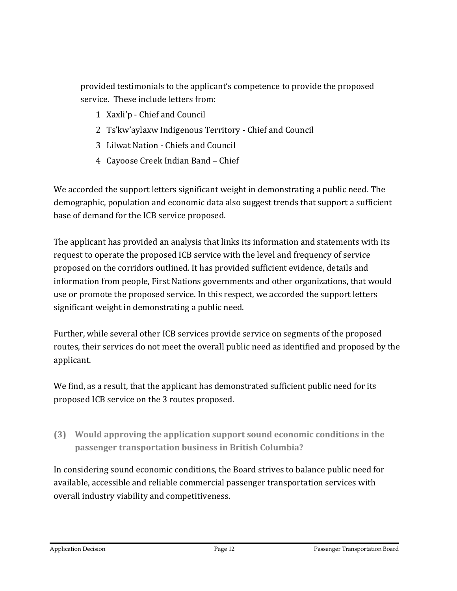provided testimonials to the applicant's competence to provide the proposed service. These include letters from:

- 1 Xaxli'p Chief and Council
- 2 Ts'kw'aylaxw Indigenous Territory Chief and Council
- 3 Lilwat Nation Chiefs and Council
- 4 Cayoose Creek Indian Band Chief

We accorded the support letters significant weight in demonstrating a public need. The demographic, population and economic data also suggest trends that support a sufficient base of demand for the ICB service proposed.

The applicant has provided an analysis that links its information and statements with its request to operate the proposed ICB service with the level and frequency of service proposed on the corridors outlined. It has provided sufficient evidence, details and information from people, First Nations governments and other organizations, that would use or promote the proposed service. In this respect, we accorded the support letters significant weight in demonstrating a public need.

Further, while several other ICB services provide service on segments of the proposed routes, their services do not meet the overall public need as identified and proposed by the applicant.

We find, as a result, that the applicant has demonstrated sufficient public need for its proposed ICB service on the 3 routes proposed.

# **(3) Would approving the application support sound economic conditions in the passenger transportation business in British Columbia?**

In considering sound economic conditions, the Board strives to balance public need for available, accessible and reliable commercial passenger transportation services with overall industry viability and competitiveness.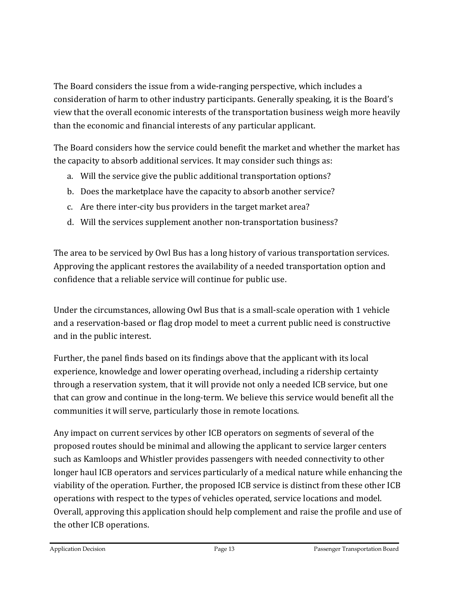The Board considers the issue from a wide-ranging perspective, which includes a consideration of harm to other industry participants. Generally speaking, it is the Board's view that the overall economic interests of the transportation business weigh more heavily than the economic and financial interests of any particular applicant.

The Board considers how the service could benefit the market and whether the market has the capacity to absorb additional services. It may consider such things as:

- a. Will the service give the public additional transportation options?
- b. Does the marketplace have the capacity to absorb another service?
- c. Are there inter-city bus providers in the target market area?
- d. Will the services supplement another non-transportation business?

The area to be serviced by Owl Bus has a long history of various transportation services. Approving the applicant restores the availability of a needed transportation option and confidence that a reliable service will continue for public use.

Under the circumstances, allowing Owl Bus that is a small-scale operation with 1 vehicle and a reservation-based or flag drop model to meet a current public need is constructive and in the public interest.

Further, the panel finds based on its findings above that the applicant with its local experience, knowledge and lower operating overhead, including a ridership certainty through a reservation system, that it will provide not only a needed ICB service, but one that can grow and continue in the long-term. We believe this service would benefit all the communities it will serve, particularly those in remote locations.

Any impact on current services by other ICB operators on segments of several of the proposed routes should be minimal and allowing the applicant to service larger centers such as Kamloops and Whistler provides passengers with needed connectivity to other longer haul ICB operators and services particularly of a medical nature while enhancing the viability of the operation. Further, the proposed ICB service is distinct from these other ICB operations with respect to the types of vehicles operated, service locations and model. Overall, approving this application should help complement and raise the profile and use of the other ICB operations.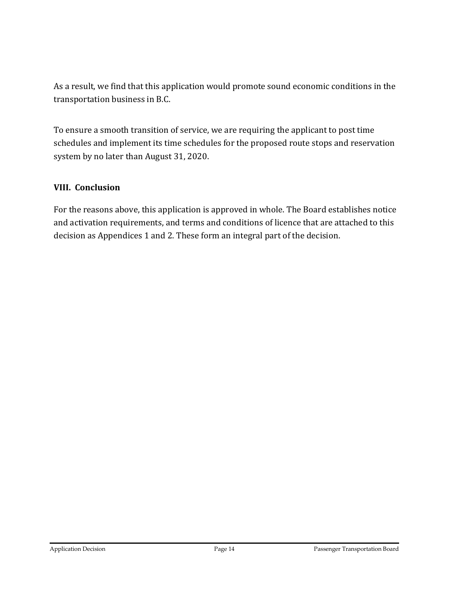As a result, we find that this application would promote sound economic conditions in the transportation business in B.C.

To ensure a smooth transition of service, we are requiring the applicant to post time schedules and implement its time schedules for the proposed route stops and reservation system by no later than August 31, 2020.

## **VIII. Conclusion**

For the reasons above, this application is approved in whole. The Board establishes notice and activation requirements, and terms and conditions of licence that are attached to this decision as Appendices 1 and 2. These form an integral part of the decision.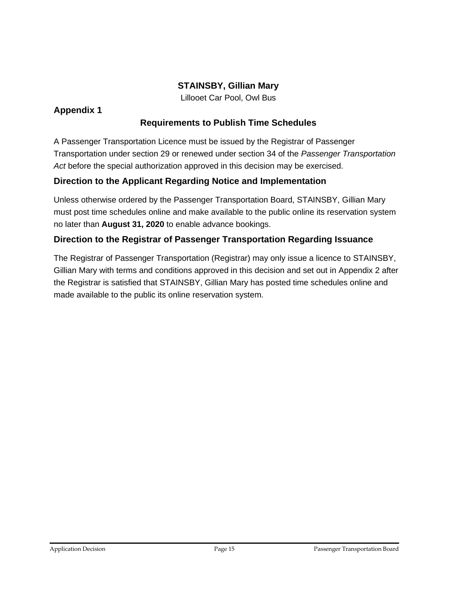## **STAINSBY, Gillian Mary**

Lillooet Car Pool, Owl Bus

#### **Appendix 1**

## **Requirements to Publish Time Schedules**

A Passenger Transportation Licence must be issued by the Registrar of Passenger Transportation under section 29 or renewed under section 34 of the *Passenger Transportation Act* before the special authorization approved in this decision may be exercised.

## **Direction to the Applicant Regarding Notice and Implementation**

Unless otherwise ordered by the Passenger Transportation Board, STAINSBY, Gillian Mary must post time schedules online and make available to the public online its reservation system no later than **August 31, 2020** to enable advance bookings.

#### **Direction to the Registrar of Passenger Transportation Regarding Issuance**

The Registrar of Passenger Transportation (Registrar) may only issue a licence to STAINSBY, Gillian Mary with terms and conditions approved in this decision and set out in Appendix 2 after the Registrar is satisfied that STAINSBY, Gillian Mary has posted time schedules online and made available to the public its online reservation system.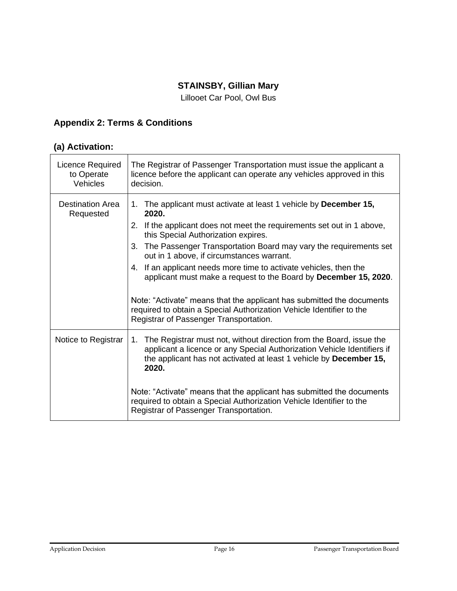## **STAINSBY, Gillian Mary**

Lillooet Car Pool, Owl Bus

# **Appendix 2: Terms & Conditions**

## **(a) Activation:**

| Licence Required<br>to Operate<br>Vehicles | The Registrar of Passenger Transportation must issue the applicant a<br>licence before the applicant can operate any vehicles approved in this<br>decision.                                                                         |  |  |
|--------------------------------------------|-------------------------------------------------------------------------------------------------------------------------------------------------------------------------------------------------------------------------------------|--|--|
| Destination Area<br>Requested              | The applicant must activate at least 1 vehicle by December 15,<br>1 <sub>1</sub><br>2020.<br>2. If the applicant does not meet the requirements set out in 1 above,                                                                 |  |  |
|                                            | this Special Authorization expires.                                                                                                                                                                                                 |  |  |
|                                            | The Passenger Transportation Board may vary the requirements set<br>3.<br>out in 1 above, if circumstances warrant.                                                                                                                 |  |  |
|                                            | If an applicant needs more time to activate vehicles, then the<br>4.<br>applicant must make a request to the Board by December 15, 2020.                                                                                            |  |  |
|                                            | Note: "Activate" means that the applicant has submitted the documents<br>required to obtain a Special Authorization Vehicle Identifier to the<br>Registrar of Passenger Transportation.                                             |  |  |
| Notice to Registrar                        | The Registrar must not, without direction from the Board, issue the<br>1.<br>applicant a licence or any Special Authorization Vehicle Identifiers if<br>the applicant has not activated at least 1 vehicle by December 15,<br>2020. |  |  |
|                                            | Note: "Activate" means that the applicant has submitted the documents<br>required to obtain a Special Authorization Vehicle Identifier to the<br>Registrar of Passenger Transportation.                                             |  |  |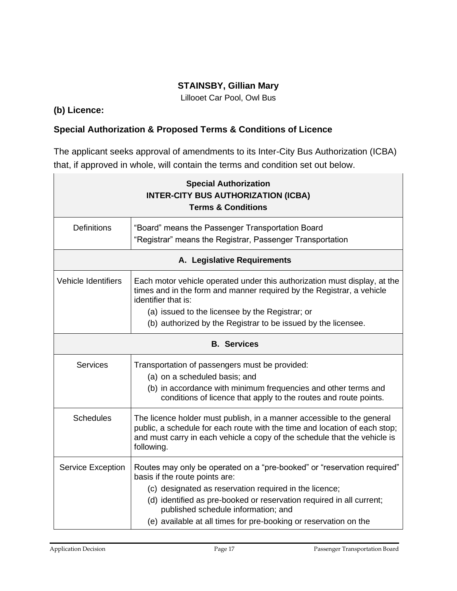## **STAINSBY, Gillian Mary**

Lillooet Car Pool, Owl Bus

#### **(b) Licence:**

## **Special Authorization & Proposed Terms & Conditions of Licence**

The applicant seeks approval of amendments to its Inter-City Bus Authorization (ICBA) that, if approved in whole, will contain the terms and condition set out below.

| <b>Special Authorization</b><br><b>INTER-CITY BUS AUTHORIZATION (ICBA)</b><br><b>Terms &amp; Conditions</b> |                                                                                                                                                                                                                                                                                                                                                        |  |  |
|-------------------------------------------------------------------------------------------------------------|--------------------------------------------------------------------------------------------------------------------------------------------------------------------------------------------------------------------------------------------------------------------------------------------------------------------------------------------------------|--|--|
| <b>Definitions</b>                                                                                          | "Board" means the Passenger Transportation Board<br>"Registrar" means the Registrar, Passenger Transportation                                                                                                                                                                                                                                          |  |  |
| A. Legislative Requirements                                                                                 |                                                                                                                                                                                                                                                                                                                                                        |  |  |
| <b>Vehicle Identifiers</b>                                                                                  | Each motor vehicle operated under this authorization must display, at the<br>times and in the form and manner required by the Registrar, a vehicle<br>identifier that is:                                                                                                                                                                              |  |  |
|                                                                                                             | (a) issued to the licensee by the Registrar; or                                                                                                                                                                                                                                                                                                        |  |  |
|                                                                                                             | (b) authorized by the Registrar to be issued by the licensee.                                                                                                                                                                                                                                                                                          |  |  |
| <b>B.</b> Services                                                                                          |                                                                                                                                                                                                                                                                                                                                                        |  |  |
| <b>Services</b>                                                                                             | Transportation of passengers must be provided:<br>(a) on a scheduled basis; and<br>(b) in accordance with minimum frequencies and other terms and<br>conditions of licence that apply to the routes and route points.                                                                                                                                  |  |  |
| <b>Schedules</b>                                                                                            | The licence holder must publish, in a manner accessible to the general<br>public, a schedule for each route with the time and location of each stop;<br>and must carry in each vehicle a copy of the schedule that the vehicle is<br>following.                                                                                                        |  |  |
| <b>Service Exception</b>                                                                                    | Routes may only be operated on a "pre-booked" or "reservation required"<br>basis if the route points are:<br>(c) designated as reservation required in the licence;<br>(d) identified as pre-booked or reservation required in all current;<br>published schedule information; and<br>(e) available at all times for pre-booking or reservation on the |  |  |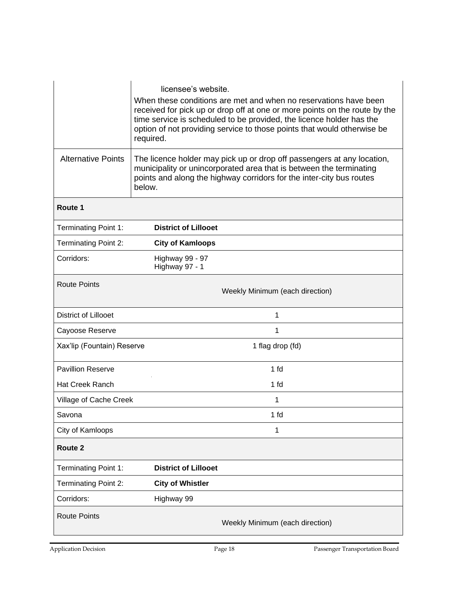|                             | required.                                                                                                                                                                                                                       | licensee's website.<br>When these conditions are met and when no reservations have been<br>received for pick up or drop off at one or more points on the route by the<br>time service is scheduled to be provided, the licence holder has the<br>option of not providing service to those points that would otherwise be |  |  |
|-----------------------------|---------------------------------------------------------------------------------------------------------------------------------------------------------------------------------------------------------------------------------|--------------------------------------------------------------------------------------------------------------------------------------------------------------------------------------------------------------------------------------------------------------------------------------------------------------------------|--|--|
| <b>Alternative Points</b>   | The licence holder may pick up or drop off passengers at any location,<br>municipality or unincorporated area that is between the terminating<br>points and along the highway corridors for the inter-city bus routes<br>below. |                                                                                                                                                                                                                                                                                                                          |  |  |
| Route 1                     |                                                                                                                                                                                                                                 |                                                                                                                                                                                                                                                                                                                          |  |  |
| <b>Terminating Point 1:</b> |                                                                                                                                                                                                                                 | <b>District of Lillooet</b>                                                                                                                                                                                                                                                                                              |  |  |
| <b>Terminating Point 2:</b> | <b>City of Kamloops</b>                                                                                                                                                                                                         |                                                                                                                                                                                                                                                                                                                          |  |  |
| Corridors:                  | Highway 99 - 97<br>Highway 97 - 1                                                                                                                                                                                               |                                                                                                                                                                                                                                                                                                                          |  |  |
| <b>Route Points</b>         |                                                                                                                                                                                                                                 | Weekly Minimum (each direction)                                                                                                                                                                                                                                                                                          |  |  |
| <b>District of Lillooet</b> |                                                                                                                                                                                                                                 | 1                                                                                                                                                                                                                                                                                                                        |  |  |
| Cayoose Reserve             |                                                                                                                                                                                                                                 | 1                                                                                                                                                                                                                                                                                                                        |  |  |
| Xax'lip (Fountain) Reserve  |                                                                                                                                                                                                                                 | 1 flag drop (fd)                                                                                                                                                                                                                                                                                                         |  |  |
| <b>Pavillion Reserve</b>    |                                                                                                                                                                                                                                 | 1 <sub>fd</sub>                                                                                                                                                                                                                                                                                                          |  |  |
| <b>Hat Creek Ranch</b>      |                                                                                                                                                                                                                                 | 1 fd                                                                                                                                                                                                                                                                                                                     |  |  |
| Village of Cache Creek      |                                                                                                                                                                                                                                 | 1                                                                                                                                                                                                                                                                                                                        |  |  |
| Savona                      |                                                                                                                                                                                                                                 | 1 fd                                                                                                                                                                                                                                                                                                                     |  |  |
| City of Kamloops            |                                                                                                                                                                                                                                 | 1                                                                                                                                                                                                                                                                                                                        |  |  |
| Route 2                     |                                                                                                                                                                                                                                 |                                                                                                                                                                                                                                                                                                                          |  |  |
| <b>Terminating Point 1:</b> | <b>District of Lillooet</b>                                                                                                                                                                                                     |                                                                                                                                                                                                                                                                                                                          |  |  |
| <b>Terminating Point 2:</b> | <b>City of Whistler</b>                                                                                                                                                                                                         |                                                                                                                                                                                                                                                                                                                          |  |  |
| Corridors:                  | Highway 99                                                                                                                                                                                                                      |                                                                                                                                                                                                                                                                                                                          |  |  |
| <b>Route Points</b>         |                                                                                                                                                                                                                                 | Weekly Minimum (each direction)                                                                                                                                                                                                                                                                                          |  |  |